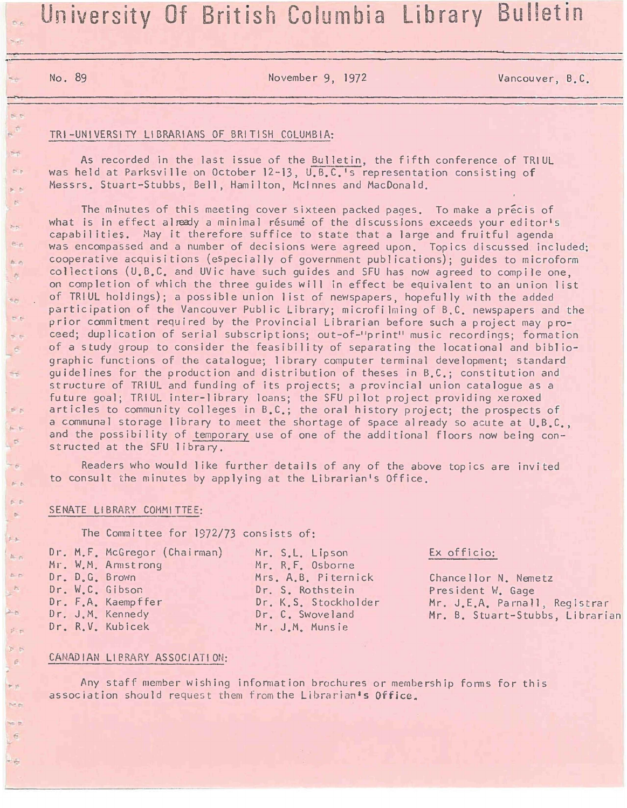# Diversity Of British Columbia Library Bulletin

 $6.6$ 

 $5 - 6$  $\mathbb{R}^n$ 

**Pinet**  $h - n$  $\theta$ 

 $m_{\text{eff}}$  $\mathbb{R}$  $\sim$   $\sim$ 

 $rac{1}{2}$ 

 $D - D$  $6 - 6$  $\heartsuit$ 

 $-6$  $\tilde{p} = p$  $6 - 5$  $\mathbf{b}$ 

 $\frac{1}{2}$  $N<\infty$ 50  $F_{2}$ 

 $\Delta - \mu$  $5 - 6$  $P - P$  $\tilde{E}$ 

 $\blacktriangleright$  16  $258.8$ 

 $\frac{1}{2}$ 

**No. 89** November 9, 1972 Vancouver, B.C.

## TRI-UNIVERSITY LIBRARIANS OF BRITISH COLUMBIA:

As recorded in the last issue of the Bulletin, the fifth conference of TRIUL was held at Parksville on October 12-13, U.B.C.'s representation consisting of Messrs. Stuart-Stubbs, Bell, Hamilton, McInnes and MacDonald.

The minutes of this meeting cover sixteen packed pages. To make a precis of what is in effect already a minimal résume of the discussions exceeds your editor's capabilities. May it therefore suffice to state that a large and fruitful agenda was encompassed and a number of decisions were agreed upon. Topics discussed included: cooperative acquisitions (especially of government publications); quides to microform collections (U.B.C. and UVic have such guides and SFU has now agreed to compile one, on completion of which the three guides will in effect be equivalent to an union list of TRIUL holdings); a possible union list of newspapers, hopefully with the added participation of the Vancouver Public Library; microfilming of B.C. newspapers and the prior commitment required by the Provincial Librarian before such a project may proceed; duplication of serial subscriptions; out-of-"print" music recordings; formation of a study group to consider the feasibility of separating the locational and bibliographic functions of the catalogue; library computer terminal development; standard guidelines for the production and distribution of theses in B.C.; constitution and structure of TRIUL and funding of its projects; a provincial union catalogue as a future goal; TRIUL inter-library loans; the SFU pilot project providing xeroxed articles to community colleges in B.C.; the oral history project; the prospects of a communal storage library to meet the shortage of space already so acute at  $U_1B_2C_3$ , and the possibility of temporary use of one of the additional floors now being constructed at the SFU library.

Readers who would like further details of any of the above topics are invited to consult the minutes by applying at the Librarian's Office.

#### SENATE LIBRARY COMMITTEE:

The Committee for 1872/73 consists of;

Dr. M.F. McGregor (Chai rman) Mr. Mr. W,M. Amist rong Mr. Dr. D.G. Brown Mrs. Dr. W.C. Gibson Dr. Dr. F.A. Kaempffer Dr. Dr. J.M. Kennedy Dr. Dr. Dr. R.V. Kubicek Mr.

Mr. S.L. Lipson Mr. R.F. Osborne A.B. Piternick Dr. S. Rothstein Dr. K.S. Stockholder Dr. C. Swoveland J.M. Munsie

# Ex officio:

Chancellor N. Nemetz President W. Gage Mr. J.E.A. Parnall, Registrar Mr. B. Stuart-Stubbs, Librarian

## CANADIAN LIBRARY ASSOCIATION:

Any staff member wishing information brochures or membership forms for this association should request them from the Librarian's Office.